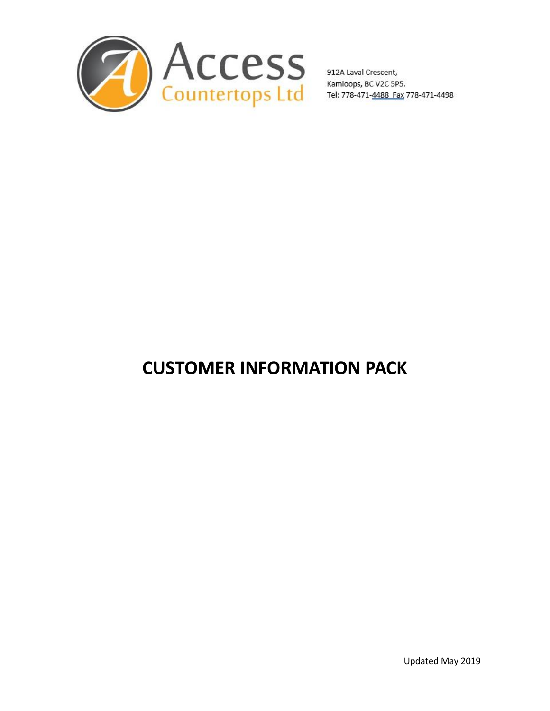

# **CUSTOMER INFORMATION PACK**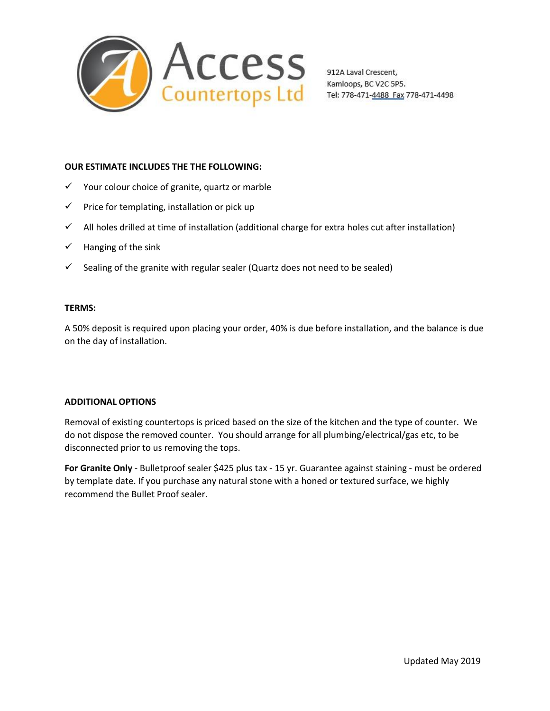

### **OUR ESTIMATE INCLUDES THE THE FOLLOWING:**

- $\checkmark$  Your colour choice of granite, quartz or marble
- $\checkmark$  Price for templating, installation or pick up
- $\checkmark$  All holes drilled at time of installation (additional charge for extra holes cut after installation)
- $\checkmark$  Hanging of the sink
- $\checkmark$  Sealing of the granite with regular sealer (Quartz does not need to be sealed)

### **TERMS:**

A 50% deposit is required upon placing your order, 40% is due before installation, and the balance is due on the day of installation.

### **ADDITIONAL OPTIONS**

Removal of existing countertops is priced based on the size of the kitchen and the type of counter. We do not dispose the removed counter. You should arrange for all plumbing/electrical/gas etc, to be disconnected prior to us removing the tops.

**For Granite Only** - Bulletproof sealer \$425 plus tax - 15 yr. Guarantee against staining - must be ordered by template date. If you purchase any natural stone with a honed or textured surface, we highly recommend the Bullet Proof sealer.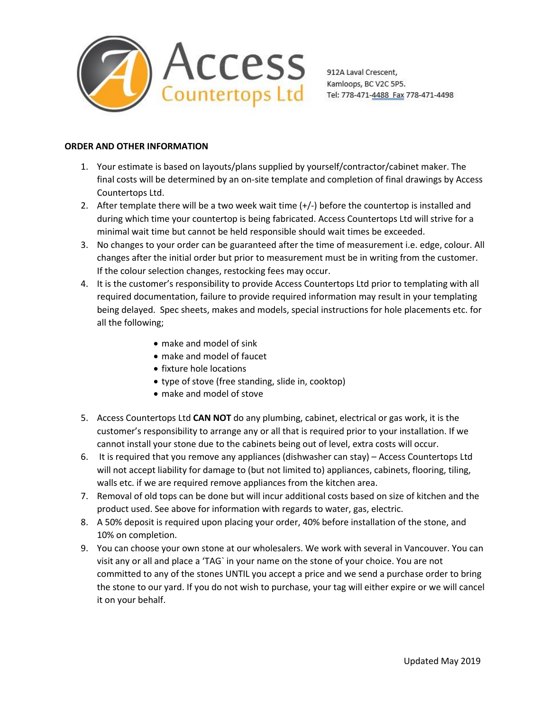

# **ORDER AND OTHER INFORMATION**

- 1. Your estimate is based on layouts/plans supplied by yourself/contractor/cabinet maker. The final costs will be determined by an on-site template and completion of final drawings by Access Countertops Ltd.
- 2. After template there will be a two week wait time (+/-) before the countertop is installed and during which time your countertop is being fabricated. Access Countertops Ltd will strive for a minimal wait time but cannot be held responsible should wait times be exceeded.
- 3. No changes to your order can be guaranteed after the time of measurement i.e. edge, colour. All changes after the initial order but prior to measurement must be in writing from the customer. If the colour selection changes, restocking fees may occur.
- 4. It is the customer's responsibility to provide Access Countertops Ltd prior to templating with all required documentation, failure to provide required information may result in your templating being delayed. Spec sheets, makes and models, special instructions for hole placements etc. for all the following;
	- make and model of sink
	- make and model of faucet
	- fixture hole locations
	- type of stove (free standing, slide in, cooktop)
	- make and model of stove
- 5. Access Countertops Ltd **CAN NOT** do any plumbing, cabinet, electrical or gas work, it is the customer's responsibility to arrange any or all that is required prior to your installation. If we cannot install your stone due to the cabinets being out of level, extra costs will occur.
- 6. It is required that you remove any appliances (dishwasher can stay) Access Countertops Ltd will not accept liability for damage to (but not limited to) appliances, cabinets, flooring, tiling, walls etc. if we are required remove appliances from the kitchen area.
- 7. Removal of old tops can be done but will incur additional costs based on size of kitchen and the product used. See above for information with regards to water, gas, electric.
- 8. A 50% deposit is required upon placing your order, 40% before installation of the stone, and 10% on completion.
- 9. You can choose your own stone at our wholesalers. We work with several in Vancouver. You can visit any or all and place a 'TAG` in your name on the stone of your choice. You are not committed to any of the stones UNTIL you accept a price and we send a purchase order to bring the stone to our yard. If you do not wish to purchase, your tag will either expire or we will cancel it on your behalf.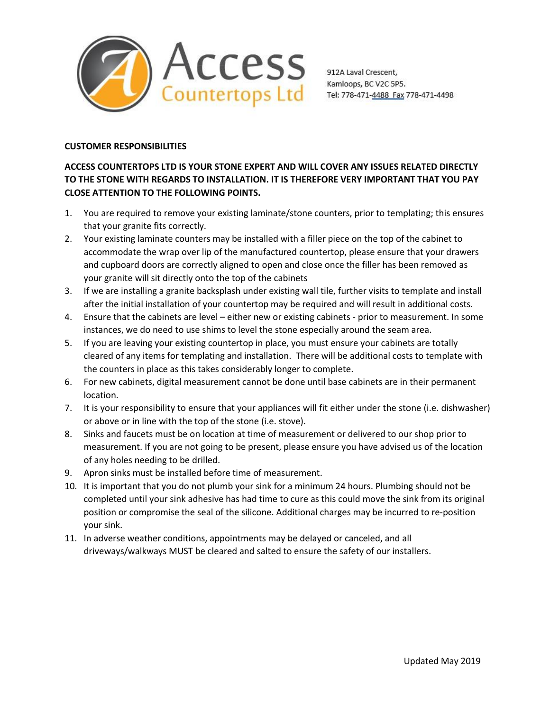

# **CUSTOMER RESPONSIBILITIES**

# **ACCESS COUNTERTOPS LTD IS YOUR STONE EXPERT AND WILL COVER ANY ISSUES RELATED DIRECTLY TO THE STONE WITH REGARDS TO INSTALLATION. IT IS THEREFORE VERY IMPORTANT THAT YOU PAY CLOSE ATTENTION TO THEFOLLOWING POINTS.**

- 1. You are required to remove your existing laminate/stone counters, prior to templating; this ensures that your granite fits correctly.
- 2. Your existing laminate counters may be installed with a filler piece on the top of the cabinet to accommodate the wrap over lip of the manufactured countertop, please ensure that your drawers and cupboard doors are correctly aligned to open and close once the filler has been removed as your granite will sit directly onto the top of the cabinets
- 3. If we are installing a granite backsplash under existing wall tile, further visits to template and install after the initial installation of your countertop may be required and will result in additional costs.
- 4. Ensure that the cabinets are level either new or existing cabinets prior to measurement. In some
- instances, we do need to use shims to level the stone especially around the seam area.<br>5. If you are leaving your existing countertop in place, you must ensure your cabinets are totally cleared of any items for templating and installation. There will be additional costs to template with the counters in place as this takes considerably longer to complete.
- 6. For new cabinets, digital measurement cannot be done until base cabinets are in their permanent location.
- 7. It is your responsibility to ensure that your appliances will fit either under the stone (i.e. dishwasher) or above or in line with the top of the stone (i.e. stove).
- 8. Sinks and faucets must be on location at time of measurement or delivered to our shop prior to measurement. If you are not going to be present, please ensure you have advised us of the location of any holes needing to be drilled.
- 9. Apron sinks must be installed before time of measurement.
- 10. It is important that you do not plumb your sink for a minimum 24 hours. Plumbing should not be completed until your sink adhesive has had time to cure as this could move the sink from its original position or compromise the seal of the silicone. Additional charges may be incurred to re-position your sink.
- 11. In adverse weather conditions, appointments may be delayed or canceled, and all driveways/walkways MUST be cleared and salted to ensure the safety of our installers.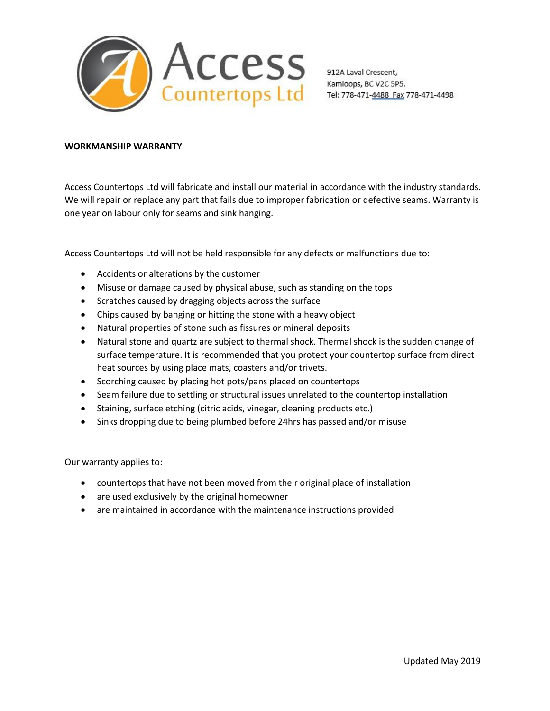

Kamloops, BC V2C 5P5. Tel: 778-471-4488 Fax 778-471-4498

### **WORKMANSHIP WARRANTY**

Access Countertops Ltd will fabricate and install our material in accordance with the industry standards. We will repair or replace any part that fails due to improper fabrication or defective seams. Warranty is one year on labour only for seams and sink hanging.

Access Countertops Ltd will not be held responsible for any defects or malfunctions due to:

- Accidents or alterations by the customer
- Misuse or damage caused by physical abuse, such as standing on the tops
- Scratches caused by dragging objects across the surface
- Chips caused by banging or hitting the stone with a heavy object
- Natural properties of stone such as fissures or mineral deposits
- Natural stone and quartz are subject to thermal shock. Thermal shock is the sudden change of surface temperature. It is recommended that you protect your countertop surface from direct heat sources by using place mats, coasters and/or trivets.
- Scorching caused by placing hot pots/pans placed on countertops
- Seam failure due to settling or structural issues unrelated to the countertop installation
- Staining, surface etching (citric acids, vinegar, cleaning products etc.)
- Sinks dropping due to being plumbed before 24hrs has passed and/or misuse

Our warranty applies to:

- countertops that have not been moved from their original place of installation
- are used exclusively by the original homeowner
- are maintained in accordance with the maintenance instructions provided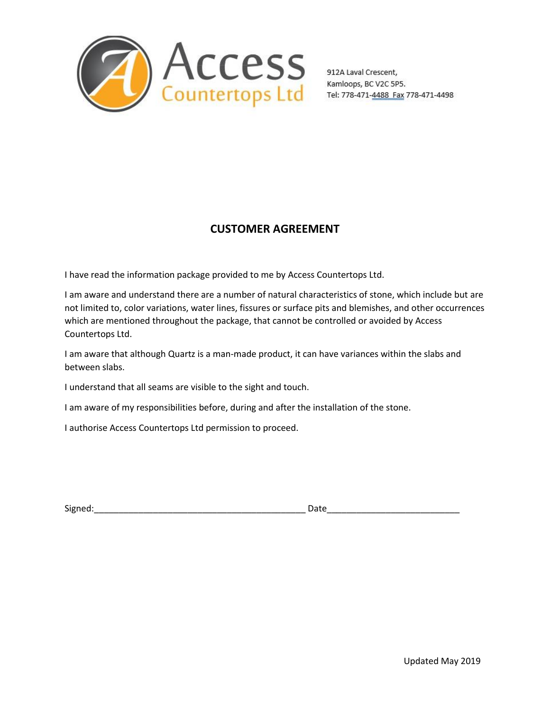

Kamloops, BC V2C 5P5. Tel: 778-471-4488 Fax 778-471-4498

# **CUSTOMER AGREEMENT**

I have read the information package provided to me by Access Countertops Ltd.

I am aware and understand there are a number of natural characteristics of stone, which include but are not limited to, color variations, water lines, fissures or surface pits and blemishes, and other occurrences which are mentioned throughout the package, that cannot be controlled or avoided by Access Countertops Ltd.

I am aware that although Quartz is a man-made product, it can have variances within the slabs and between slabs.

I understand that all seams are visible to the sight and touch.

I am aware of my responsibilities before, during and after the installation of the stone.

I authorise Access Countertops Ltd permission to proceed.

| $\sim$         |      |
|----------------|------|
| <b>JIKII</b> ' | alt. |
|                |      |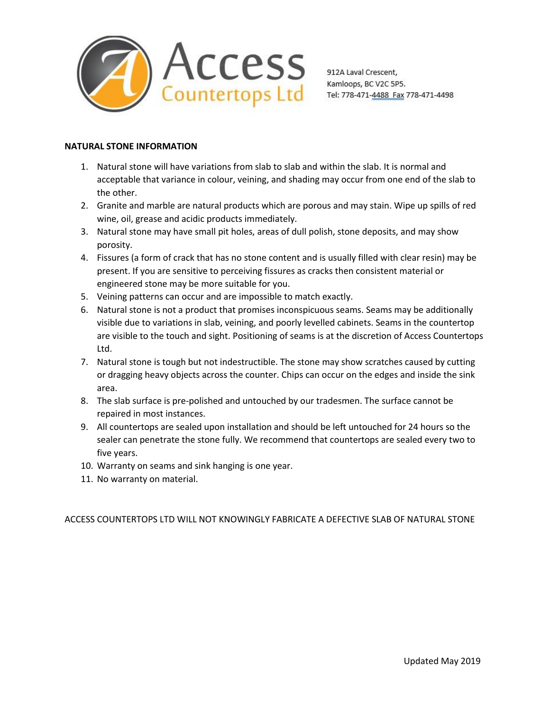

# **NATURAL STONE INFORMATION**

- 1. Natural stone will have variations from slab to slab and within the slab. It is normal and acceptable that variance in colour, veining, and shading may occur from one end of the slab to the other.
- 2. Granite and marble are natural products which are porous and may stain. Wipe up spills of red wine, oil, grease and acidic products immediately.
- 3. Natural stone may have small pit holes, areas of dull polish, stone deposits, and may show porosity.
- 4. Fissures (a form of crack that has no stone content and is usually filled with clear resin) may be present. If you are sensitive to perceiving fissures as cracks then consistent material or engineered stone may be more suitable for you.
- 5. Veining patterns can occur and are impossible to match exactly.
- 6. Natural stone is not a product that promises inconspicuous seams. Seams may be additionally visible due to variations in slab, veining, and poorly levelled cabinets. Seams in the countertop are visible to the touch and sight. Positioning of seams is at the discretion of Access Countertops Ltd.
- 7. Natural stone is tough but not indestructible. The stone may show scratches caused by cutting or dragging heavy objects across the counter. Chips can occur on the edges and inside the sink area.
- 8. The slab surface is pre-polished and untouched by our tradesmen. The surface cannot be repaired in most instances.
- 9. All countertops are sealed upon installation and should be left untouched for 24 hours so the sealer can penetrate the stone fully. We recommend that countertops are sealed every two to five years.
- 10. Warranty on seams and sink hanging is one year.
- 11. No warranty on material.

ACCESS COUNTERTOPS LTD WILL NOT KNOWINGLY FABRICATE A DEFECTIVE SLAB OF NATURAL STONE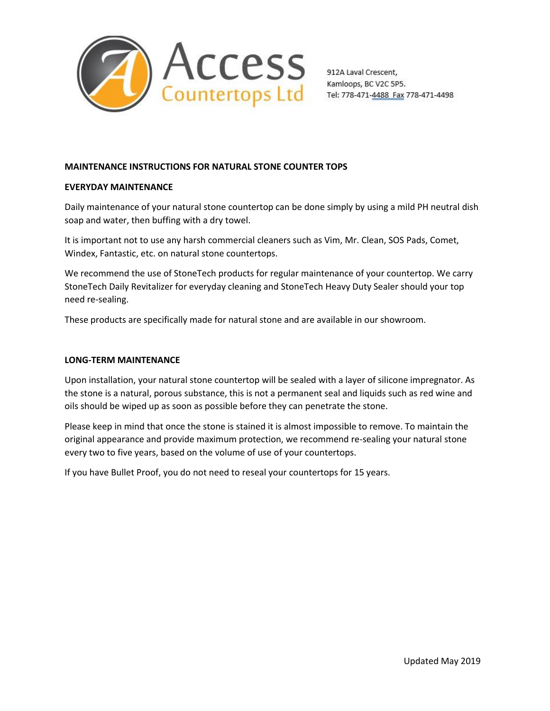

# **MAINTENANCE INSTRUCTIONS FOR NATURAL STONE COUNTER TOPS**

### **EVERYDAY MAINTENANCE**

Daily maintenance of your natural stone countertop can be done simply by using a mild PH neutral dish soap and water, then buffing with a dry towel.

It is important not to use any harsh commercial cleaners such as Vim, Mr. Clean, SOS Pads, Comet, Windex, Fantastic, etc. on natural stone countertops.

We recommend the use of StoneTech products for regular maintenance of your countertop. We carry StoneTech Daily Revitalizer for everyday cleaning and StoneTech Heavy Duty Sealer should your top need re-sealing.

These products are specifically made for natural stone and are available in our showroom.

### **LONG-TERM MAINTENANCE**

Upon installation, your natural stone countertop will be sealed with a layer of silicone impregnator. As the stone is a natural, porous substance, this is not a permanent seal and liquids such as red wine and oils should be wiped up as soon as possible before they can penetrate the stone.

Please keep in mind that once the stone is stained it is almost impossible to remove.To maintain the original appearance and provide maximum protection, we recommend re-sealing your natural stone every two to five years, based on the volume of use of your countertops.

If you have Bullet Proof, you do not need to reseal your countertops for 15 years.